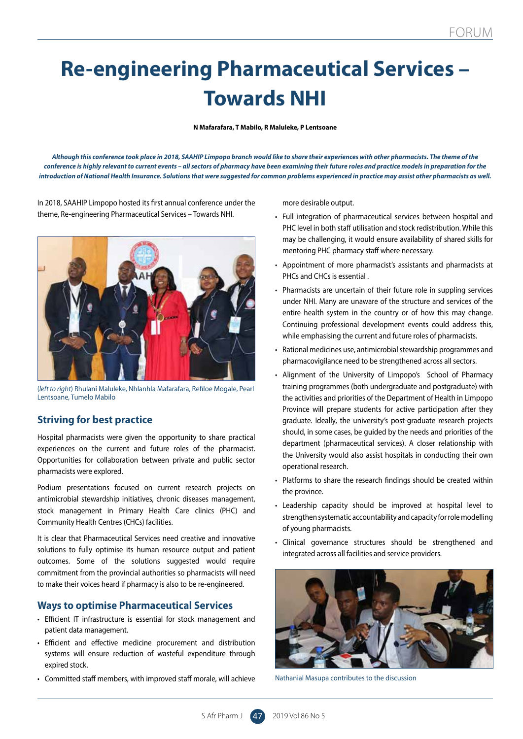# **Re-engineering Pharmaceutical Services – Towards NHI**

**N Mafarafara, T Mabilo, R Maluleke, P Lentsoane**

*Although this conference took place in 2018, SAAHIP Limpopo branch would like to share their experiences with other pharmacists. The theme of the conference is highly relevant to current events – all sectors of pharmacy have been examining their future roles and practice models in preparation for the introduction of National Health Insurance. Solutions that were suggested for common problems experienced in practice may assist other pharmacists as well.*

In 2018, SAAHIP Limpopo hosted its first annual conference under the theme, Re-engineering Pharmaceutical Services – Towards NHI.



(*left to right*) Rhulani Maluleke, Nhlanhla Mafarafara, Refiloe Mogale, Pearl Lentsoane, Tumelo Mabilo

## **Striving for best practice**

Hospital pharmacists were given the opportunity to share practical experiences on the current and future roles of the pharmacist. Opportunities for collaboration between private and public sector pharmacists were explored.

Podium presentations focused on current research projects on antimicrobial stewardship initiatives, chronic diseases management, stock management in Primary Health Care clinics (PHC) and Community Health Centres (CHCs) facilities.

It is clear that Pharmaceutical Services need creative and innovative solutions to fully optimise its human resource output and patient outcomes. Some of the solutions suggested would require commitment from the provincial authorities so pharmacists will need to make their voices heard if pharmacy is also to be re-engineered.

#### **Ways to optimise Pharmaceutical Services**

- Efficient IT infrastructure is essential for stock management and patient data management.
- Efficient and effective medicine procurement and distribution systems will ensure reduction of wasteful expenditure through expired stock.
- Committed staff members, with improved staff morale, will achieve

more desirable output.

- Full integration of pharmaceutical services between hospital and PHC level in both staff utilisation and stock redistribution. While this may be challenging, it would ensure availability of shared skills for mentoring PHC pharmacy staff where necessary.
- Appointment of more pharmacist's assistants and pharmacists at PHCs and CHCs is essential .
- Pharmacists are uncertain of their future role in suppling services under NHI. Many are unaware of the structure and services of the entire health system in the country or of how this may change. Continuing professional development events could address this, while emphasising the current and future roles of pharmacists.
- Rational medicines use, antimicrobial stewardship programmes and pharmacovigilance need to be strengthened across all sectors.
- Alignment of the University of Limpopo's School of Pharmacy training programmes (both undergraduate and postgraduate) with the activities and priorities of the Department of Health in Limpopo Province will prepare students for active participation after they graduate. Ideally, the university's post-graduate research projects should, in some cases, be guided by the needs and priorities of the department (pharmaceutical services). A closer relationship with the University would also assist hospitals in conducting their own operational research.
- Platforms to share the research findings should be created within the province.
- Leadership capacity should be improved at hospital level to strengthen systematic accountability and capacity for role modelling of young pharmacists.
- Clinical governance structures should be strengthened and integrated across all facilities and service providers.



Nathanial Masupa contributes to the discussion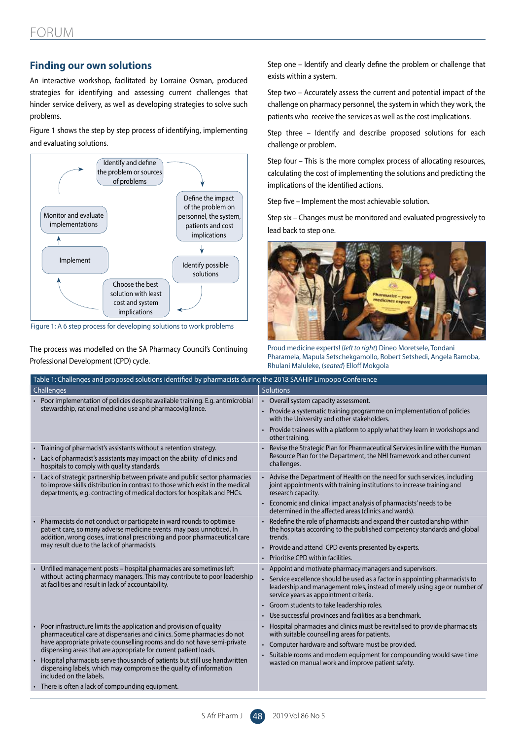### **Finding our own solutions**

An interactive workshop, facilitated by Lorraine Osman, produced strategies for identifying and assessing current challenges that hinder service delivery, as well as developing strategies to solve such problems.

Figure 1 shows the step by step process of identifying, implementing and evaluating solutions.



Figure 1: A 6 step process for developing solutions to work problems

The process was modelled on the SA Pharmacy Council's Continuing Professional Development (CPD) cycle.

Step one – Identify and clearly define the problem or challenge that exists within a system.

Step two – Accurately assess the current and potential impact of the challenge on pharmacy personnel, the system in which they work, the patients who receive the services as well as the cost implications.

Step three – Identify and describe proposed solutions for each challenge or problem.

Step four – This is the more complex process of allocating resources, calculating the cost of implementing the solutions and predicting the implications of the identified actions.

Step five – Implement the most achievable solution.

Step six – Changes must be monitored and evaluated progressively to lead back to step one.



Proud medicine experts! (*left to right*) Dineo Moretsele, Tondani Pharamela, Mapula Setschekgamollo, Robert Setshedi, Angela Ramoba, Rhulani Maluleke, (*seated*) Elloff Mokgola

| Table 1: Challenges and proposed solutions identified by pharmacists during the 2018 SAAHIP Limpopo Conference                                                                                                                                                                                                                                                                                                                                                                                                                  |                                                                                                                                                                                                                                                                                                                                                                           |  |  |  |
|---------------------------------------------------------------------------------------------------------------------------------------------------------------------------------------------------------------------------------------------------------------------------------------------------------------------------------------------------------------------------------------------------------------------------------------------------------------------------------------------------------------------------------|---------------------------------------------------------------------------------------------------------------------------------------------------------------------------------------------------------------------------------------------------------------------------------------------------------------------------------------------------------------------------|--|--|--|
| Challenges                                                                                                                                                                                                                                                                                                                                                                                                                                                                                                                      | <b>Solutions</b>                                                                                                                                                                                                                                                                                                                                                          |  |  |  |
| • Poor implementation of policies despite available training. E.g. antimicrobial<br>stewardship, rational medicine use and pharmacovigilance.                                                                                                                                                                                                                                                                                                                                                                                   | • Overall system capacity assessment.<br>• Provide a systematic training programme on implementation of policies<br>with the University and other stakeholders.<br>• Provide trainees with a platform to apply what they learn in workshops and<br>other training.                                                                                                        |  |  |  |
| • Training of pharmacist's assistants without a retention strategy.<br>• Lack of pharmacist's assistants may impact on the ability of clinics and<br>hospitals to comply with quality standards.                                                                                                                                                                                                                                                                                                                                | Revise the Strategic Plan for Pharmaceutical Services in line with the Human<br>Resource Plan for the Department, the NHI framework and other current<br>challenges.                                                                                                                                                                                                      |  |  |  |
| Lack of strategic partnership between private and public sector pharmacies<br>to improve skills distribution in contrast to those which exist in the medical<br>departments, e.g. contracting of medical doctors for hospitals and PHCs.                                                                                                                                                                                                                                                                                        | • Advise the Department of Health on the need for such services, including<br>joint appointments with training institutions to increase training and<br>research capacity.<br>• Economic and clinical impact analysis of pharmacists' needs to be<br>determined in the affected areas (clinics and wards).                                                                |  |  |  |
| Pharmacists do not conduct or participate in ward rounds to optimise<br>patient care, so many adverse medicine events may pass unnoticed. In<br>addition, wrong doses, irrational prescribing and poor pharmaceutical care<br>may result due to the lack of pharmacists.                                                                                                                                                                                                                                                        | • Redefine the role of pharmacists and expand their custodianship within<br>the hospitals according to the published competency standards and global<br>trends.<br>• Provide and attend CPD events presented by experts.<br>• Prioritise CPD within facilities.                                                                                                           |  |  |  |
| Unfilled management posts - hospital pharmacies are sometimes left<br>without acting pharmacy managers. This may contribute to poor leadership<br>at facilities and result in lack of accountability.                                                                                                                                                                                                                                                                                                                           | • Appoint and motivate pharmacy managers and supervisors.<br>Service excellence should be used as a factor in appointing pharmacists to<br>leadership and management roles, instead of merely using age or number of<br>service years as appointment criteria.<br>• Groom students to take leadership roles.<br>• Use successful provinces and facilities as a benchmark. |  |  |  |
| Poor infrastructure limits the application and provision of quality<br>pharmaceutical care at dispensaries and clinics. Some pharmacies do not<br>have appropriate private counselling rooms and do not have semi-private<br>dispensing areas that are appropriate for current patient loads.<br>Hospital pharmacists serve thousands of patients but still use handwritten<br>dispensing labels, which may compromise the quality of information<br>included on the labels.<br>There is often a lack of compounding equipment. | Hospital pharmacies and clinics must be revitalised to provide pharmacists<br>with suitable counselling areas for patients.<br>• Computer hardware and software must be provided.<br>• Suitable rooms and modern equipment for compounding would save time<br>wasted on manual work and improve patient safety.                                                           |  |  |  |
|                                                                                                                                                                                                                                                                                                                                                                                                                                                                                                                                 |                                                                                                                                                                                                                                                                                                                                                                           |  |  |  |